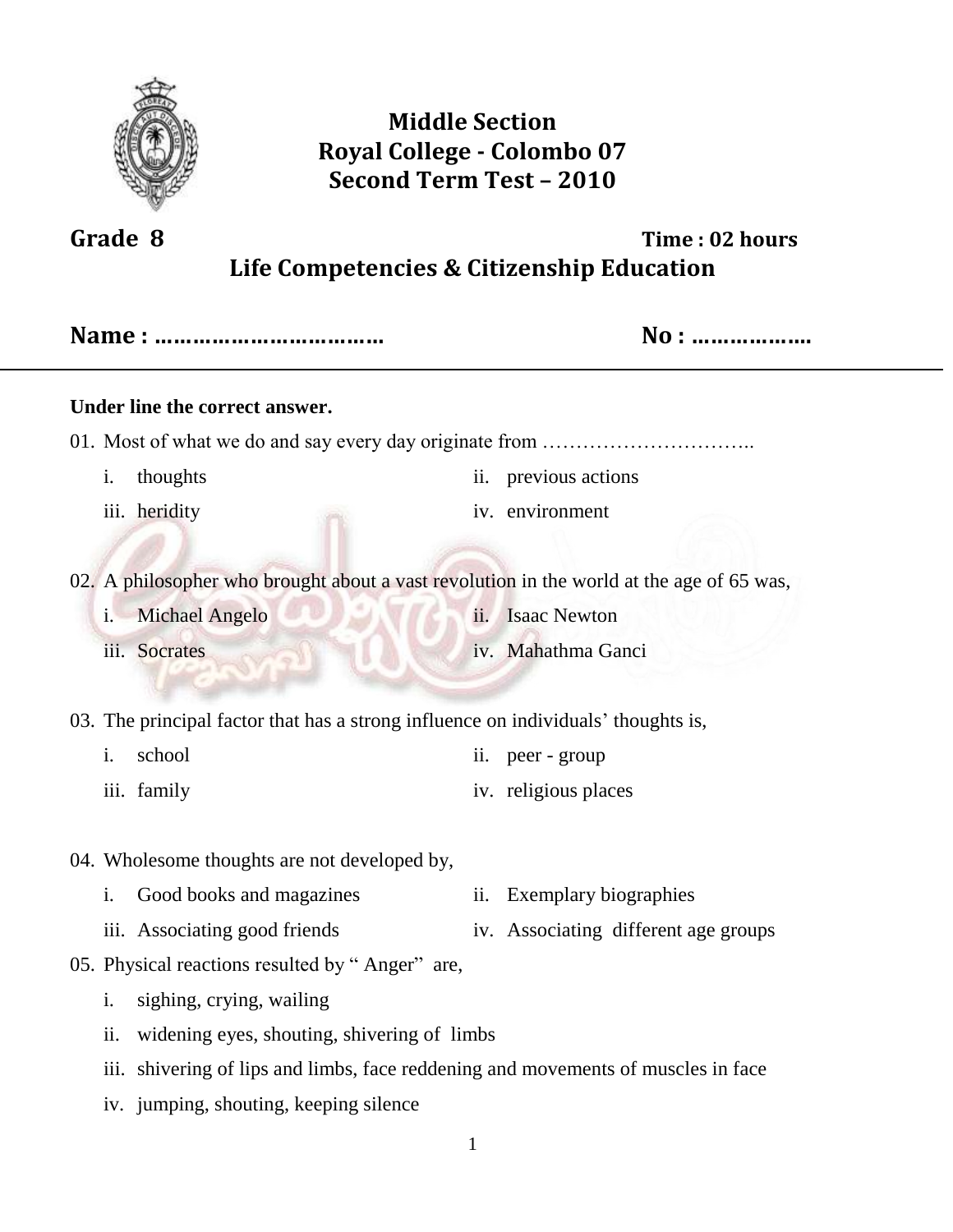

## **Middle Section Royal College - Colombo 07 Second Term Test – 2010**

# **Grade 8 Time : 02 hours Life Competencies & Citizenship Education**

|                                                                                          | No :                                 |  |  |  |  |
|------------------------------------------------------------------------------------------|--------------------------------------|--|--|--|--|
| Under line the correct answer.                                                           |                                      |  |  |  |  |
|                                                                                          |                                      |  |  |  |  |
| thoughts<br>i.                                                                           | ii. previous actions                 |  |  |  |  |
| iii. heridity                                                                            | iv. environment                      |  |  |  |  |
|                                                                                          |                                      |  |  |  |  |
| 02. A philosopher who brought about a vast revolution in the world at the age of 65 was, |                                      |  |  |  |  |
| Michael Angelo<br>i.                                                                     | <b>Isaac Newton</b><br>ii.           |  |  |  |  |
| iii. Socrates                                                                            | iv. Mahathma Ganci                   |  |  |  |  |
|                                                                                          |                                      |  |  |  |  |
| 03. The principal factor that has a strong influence on individuals' thoughts is,        |                                      |  |  |  |  |
| i.<br>school                                                                             | peer - group<br>ii.                  |  |  |  |  |
| iii. family                                                                              | iv. religious places                 |  |  |  |  |
|                                                                                          |                                      |  |  |  |  |
| 04. Wholesome thoughts are not developed by,                                             |                                      |  |  |  |  |
| Good books and magazines<br>i.                                                           | <b>Exemplary biographies</b><br>ii.  |  |  |  |  |
| iii. Associating good friends                                                            | iv. Associating different age groups |  |  |  |  |
| 05. Physical reactions resulted by "Anger" are,                                          |                                      |  |  |  |  |
| sighing, crying, wailing<br>i.                                                           |                                      |  |  |  |  |
| ii.<br>widening eyes, shouting, shivering of limbs                                       |                                      |  |  |  |  |
| iii.<br>shivering of lips and limbs, face reddening and movements of muscles in face     |                                      |  |  |  |  |
| iv. jumping, shouting, keeping silence                                                   |                                      |  |  |  |  |
|                                                                                          |                                      |  |  |  |  |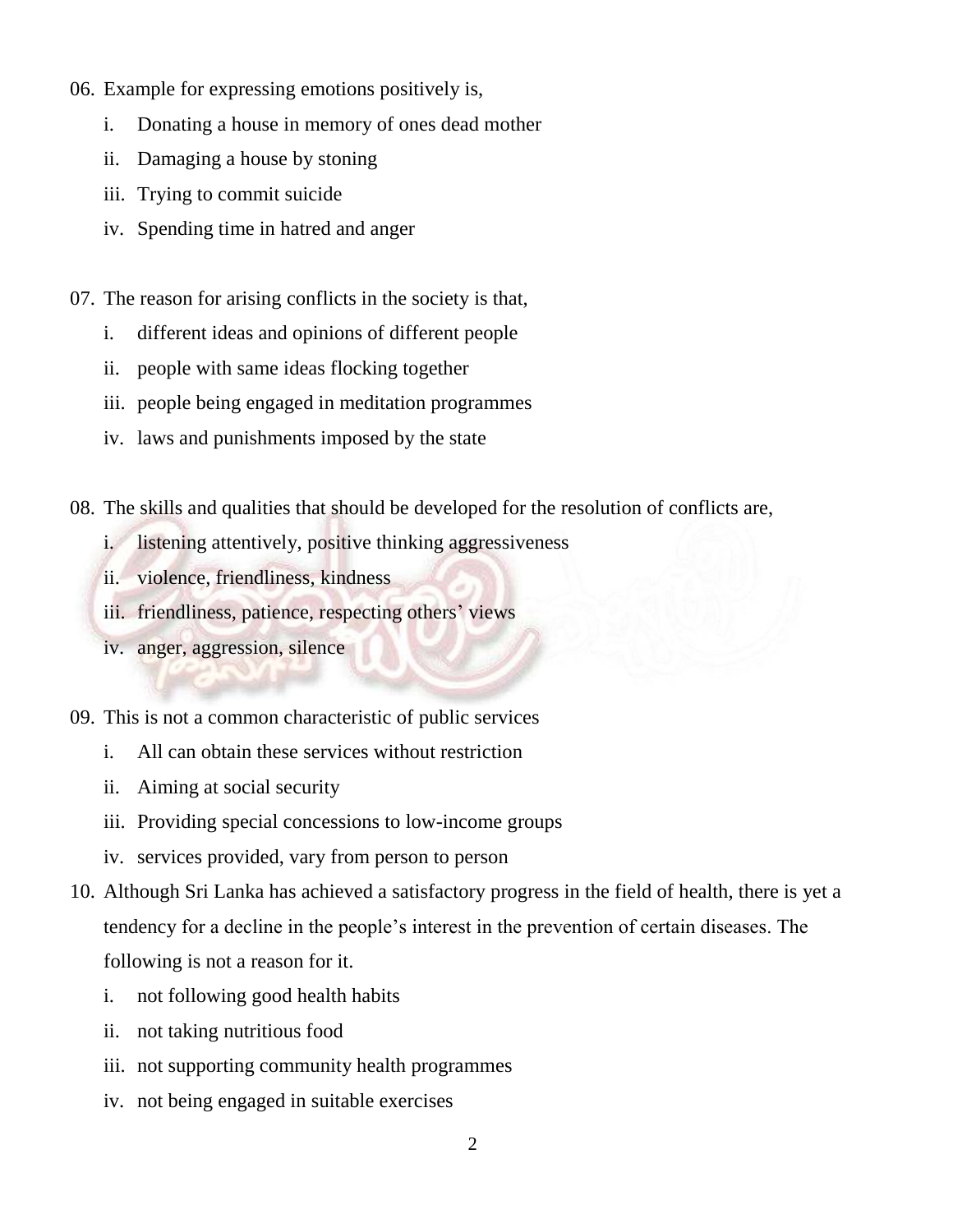- 06. Example for expressing emotions positively is,
	- i. Donating a house in memory of ones dead mother
	- ii. Damaging a house by stoning
	- iii. Trying to commit suicide
	- iv. Spending time in hatred and anger
- 07. The reason for arising conflicts in the society is that,
	- i. different ideas and opinions of different people
	- ii. people with same ideas flocking together
	- iii. people being engaged in meditation programmes
	- iv. laws and punishments imposed by the state
- 08. The skills and qualities that should be developed for the resolution of conflicts are,
	- i. listening attentively, positive thinking aggressiveness
	- ii. violence, friendliness, kindness
	- iii. friendliness, patience, respecting others' views
	- iv. anger, aggression, silence
- 09. This is not a common characteristic of public services
	- i. All can obtain these services without restriction
	- ii. Aiming at social security
	- iii. Providing special concessions to low-income groups
	- iv. services provided, vary from person to person
- 10. Although Sri Lanka has achieved a satisfactory progress in the field of health, there is yet a tendency for a decline in the people's interest in the prevention of certain diseases. The following is not a reason for it.
	- i. not following good health habits
	- ii. not taking nutritious food
	- iii. not supporting community health programmes
	- iv. not being engaged in suitable exercises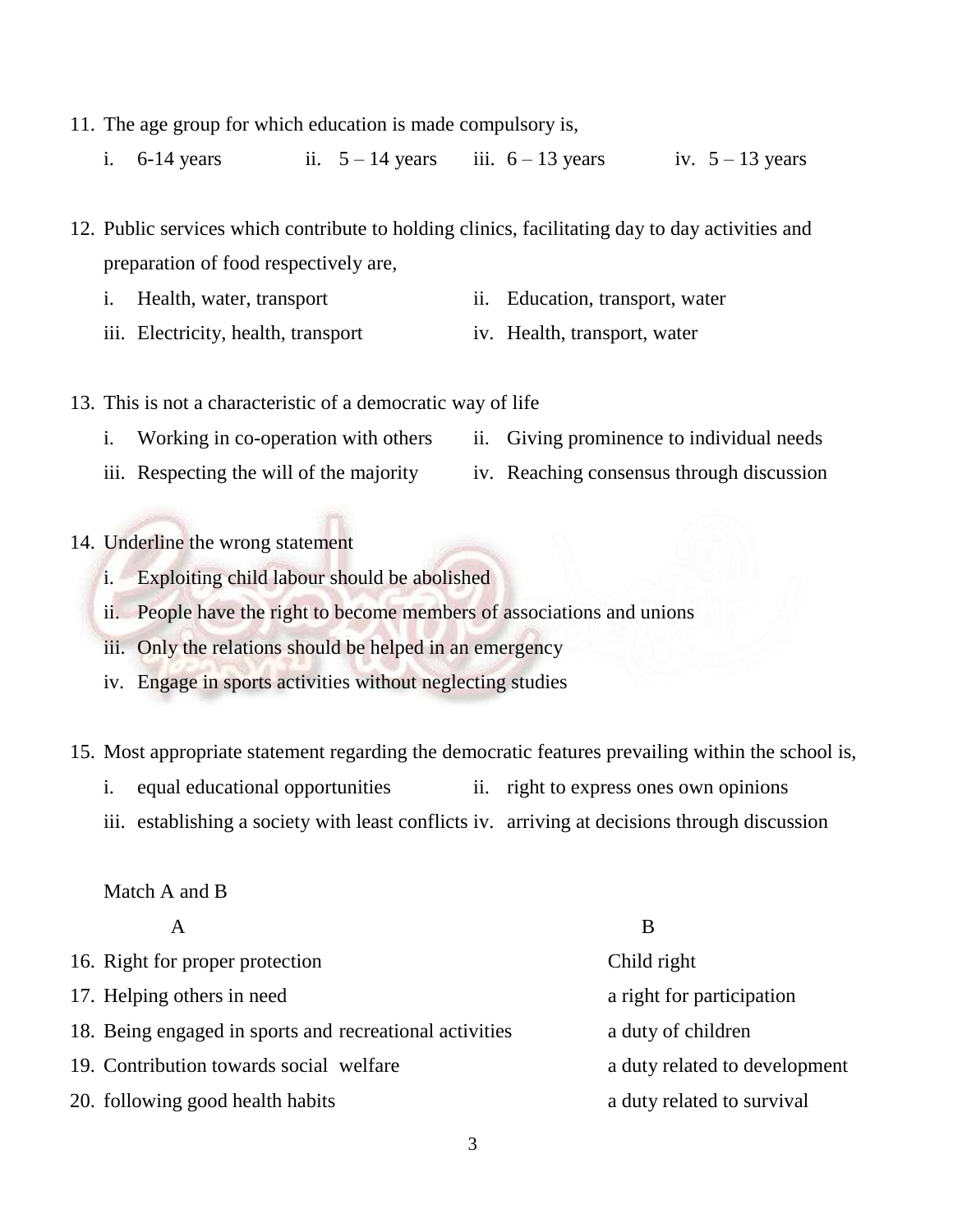- 11. The age group for which education is made compulsory is,
	- i.  $6-14$  years ii.  $5-14$  years iii.  $6-13$  years iv.  $5-13$  years
- 12. Public services which contribute to holding clinics, facilitating day to day activities and preparation of food respectively are,
	- i. Health, water, transport ii. Education, transport, water
	- iii. Electricity, health, transport iv. Health, transport, water
- 13. This is not a characteristic of a democratic way of life
	- i. Working in co-operation with others ii. Giving prominence to individual needs
	- iii. Respecting the will of the majority iv. Reaching consensus through discussion
- 14. Underline the wrong statement
	- i. Exploiting child labour should be abolished
	- ii. People have the right to become members of associations and unions
	- iii. Only the relations should be helped in an emergency
	- iv. Engage in sports activities without neglecting studies
- 15. Most appropriate statement regarding the democratic features prevailing within the school is,
	- i. equal educational opportunities ii. right to express ones own opinions
	- iii. establishing a society with least conflicts iv. arriving at decisions through discussion

Match A and B

|                                                         | B                             |
|---------------------------------------------------------|-------------------------------|
| 16. Right for proper protection                         | Child right                   |
| 17. Helping others in need                              | a right for participation     |
| 18. Being engaged in sports and recreational activities | a duty of children            |
| 19. Contribution towards social welfare                 | a duty related to development |
| 20. following good health habits                        | a duty related to survival    |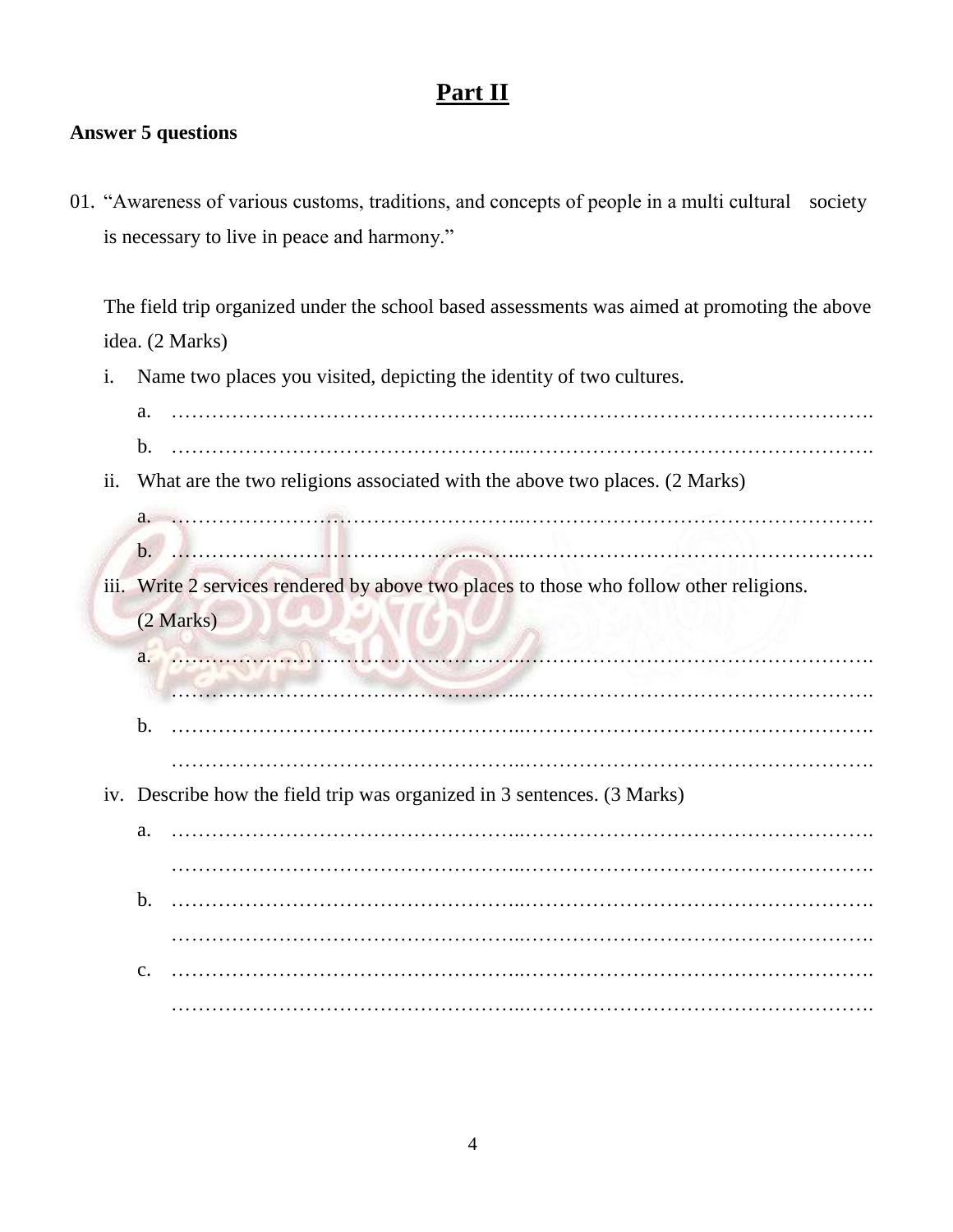## **Part II**

#### **Answer 5 questions**

01. "Awareness of various customs, traditions, and concepts of people in a multi cultural society is necessary to live in peace and harmony."

The field trip organized under the school based assessments was aimed at promoting the above idea. (2 Marks)

i. Name two places you visited, depicting the identity of two cultures.

| a.                                                                                      |
|-----------------------------------------------------------------------------------------|
| b.                                                                                      |
| What are the two religions associated with the above two places. (2 Marks)              |
|                                                                                         |
| $\mathbf{b}$ .                                                                          |
| iii. Write 2 services rendered by above two places to those who follow other religions. |
| (2 Marks)                                                                               |
| a.                                                                                      |
|                                                                                         |
| b.                                                                                      |
|                                                                                         |
| iv. Describe how the field trip was organized in 3 sentences. (3 Marks)                 |
| a.                                                                                      |
|                                                                                         |
| b.                                                                                      |
|                                                                                         |
| c.                                                                                      |
|                                                                                         |
|                                                                                         |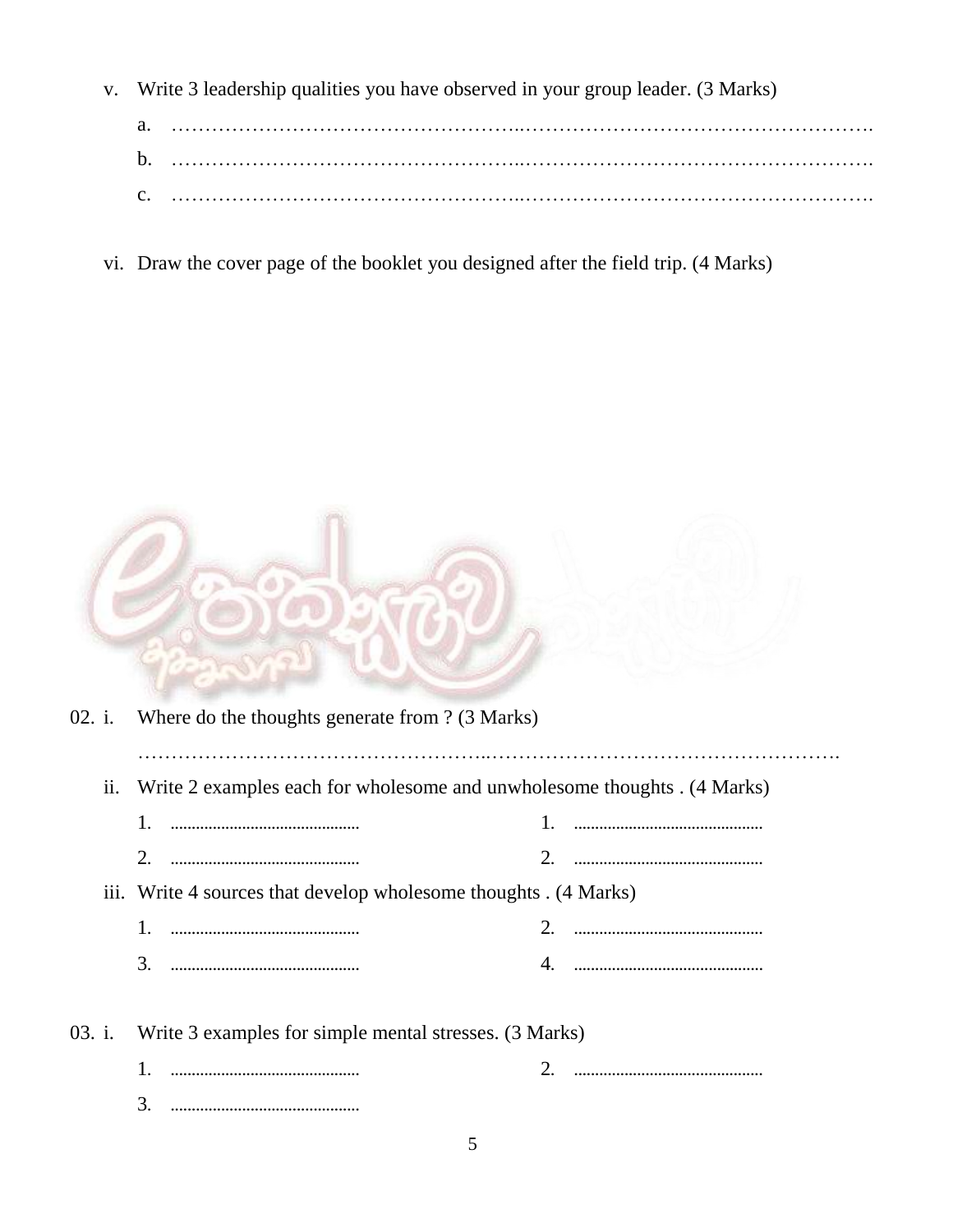v. Write 3 leadership qualities you have observed in your group leader. (3 Marks)

| a. |  |
|----|--|
|    |  |
|    |  |

vi. Draw the cover page of the booklet you designed after the field trip. (4 Marks)

|        |     | 02. i. Where do the thoughts generate from ? (3 Marks)                   |  |  |  |  |  |
|--------|-----|--------------------------------------------------------------------------|--|--|--|--|--|
|        | 11. | Write 2 examples each for wholesome and unwholesome thoughts . (4 Marks) |  |  |  |  |  |
|        |     |                                                                          |  |  |  |  |  |
|        |     |                                                                          |  |  |  |  |  |
|        |     | iii. Write 4 sources that develop wholesome thoughts . (4 Marks)         |  |  |  |  |  |
|        |     |                                                                          |  |  |  |  |  |
|        |     |                                                                          |  |  |  |  |  |
| 03. i. |     | Write 3 examples for simple mental stresses. (3 Marks)                   |  |  |  |  |  |
|        |     |                                                                          |  |  |  |  |  |
|        |     | 3.                                                                       |  |  |  |  |  |

5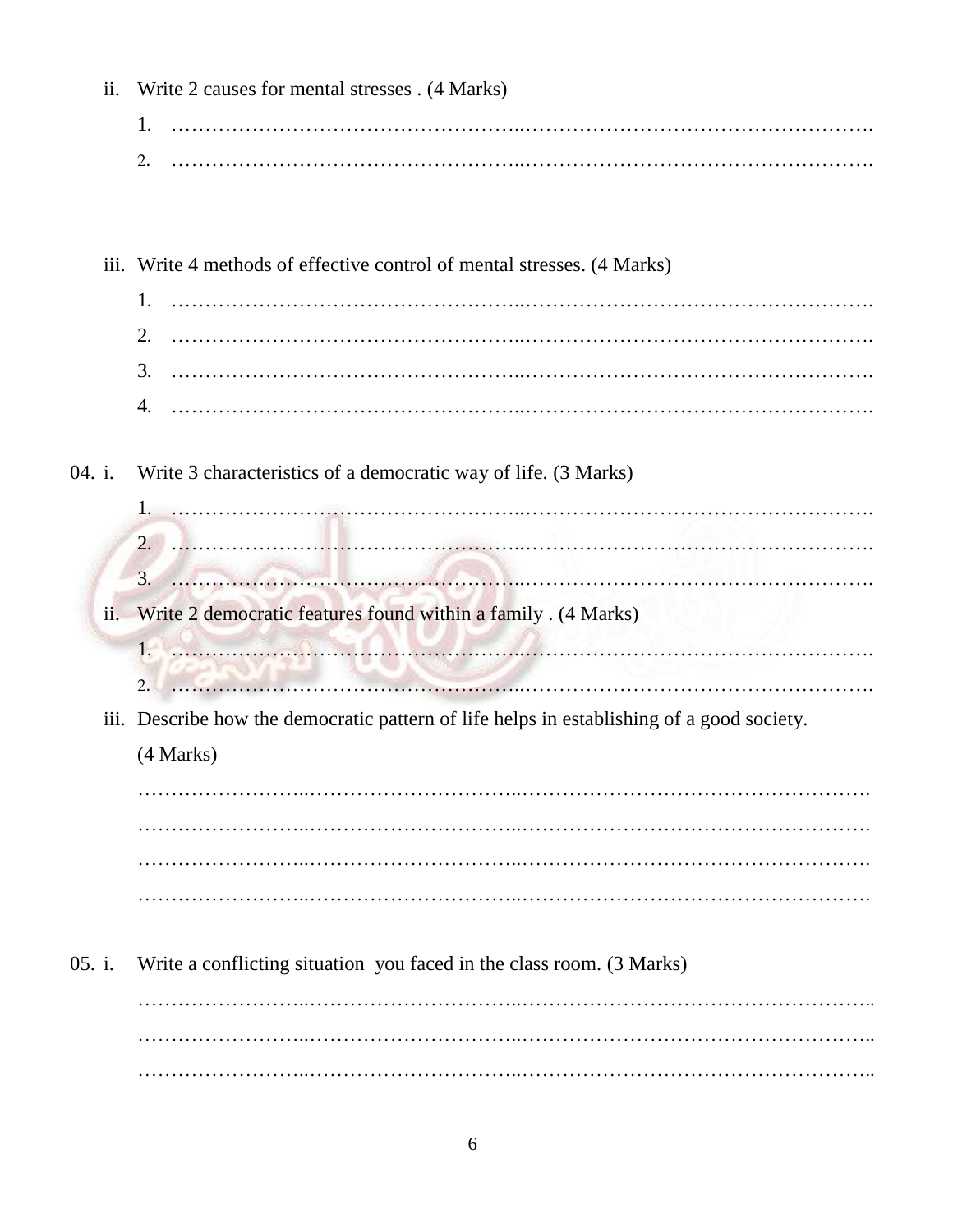|        | ii. | Write 2 causes for mental stresses . (4 Marks)                                                                         |  |  |  |  |  |
|--------|-----|------------------------------------------------------------------------------------------------------------------------|--|--|--|--|--|
|        |     | 1.                                                                                                                     |  |  |  |  |  |
|        |     | 2.                                                                                                                     |  |  |  |  |  |
|        |     |                                                                                                                        |  |  |  |  |  |
|        |     |                                                                                                                        |  |  |  |  |  |
|        |     | iii. Write 4 methods of effective control of mental stresses. (4 Marks)                                                |  |  |  |  |  |
|        |     | 1.                                                                                                                     |  |  |  |  |  |
|        |     |                                                                                                                        |  |  |  |  |  |
|        |     |                                                                                                                        |  |  |  |  |  |
|        |     |                                                                                                                        |  |  |  |  |  |
|        |     |                                                                                                                        |  |  |  |  |  |
| 04. i. |     | Write 3 characteristics of a democratic way of life. (3 Marks)                                                         |  |  |  |  |  |
|        |     |                                                                                                                        |  |  |  |  |  |
|        |     | $2. \ldots$                                                                                                            |  |  |  |  |  |
|        |     |                                                                                                                        |  |  |  |  |  |
|        | ii. | Write 2 democratic features found within a family . (4 Marks)                                                          |  |  |  |  |  |
|        |     | $1 -$                                                                                                                  |  |  |  |  |  |
|        |     | <u> 1999 - Jan Albert Harry, amerikan amerikan adalar personal dan bagai dan personal dan bagai dan bagai dalam da</u> |  |  |  |  |  |
|        |     | iii. Describe how the democratic pattern of life helps in establishing of a good society.                              |  |  |  |  |  |
|        |     | (4 Marks)                                                                                                              |  |  |  |  |  |
|        |     |                                                                                                                        |  |  |  |  |  |
|        |     |                                                                                                                        |  |  |  |  |  |
|        |     |                                                                                                                        |  |  |  |  |  |
|        |     |                                                                                                                        |  |  |  |  |  |
|        |     |                                                                                                                        |  |  |  |  |  |
| 05. i. |     | Write a conflicting situation you faced in the class room. (3 Marks)                                                   |  |  |  |  |  |
|        |     |                                                                                                                        |  |  |  |  |  |
|        |     |                                                                                                                        |  |  |  |  |  |
|        |     |                                                                                                                        |  |  |  |  |  |
|        |     |                                                                                                                        |  |  |  |  |  |